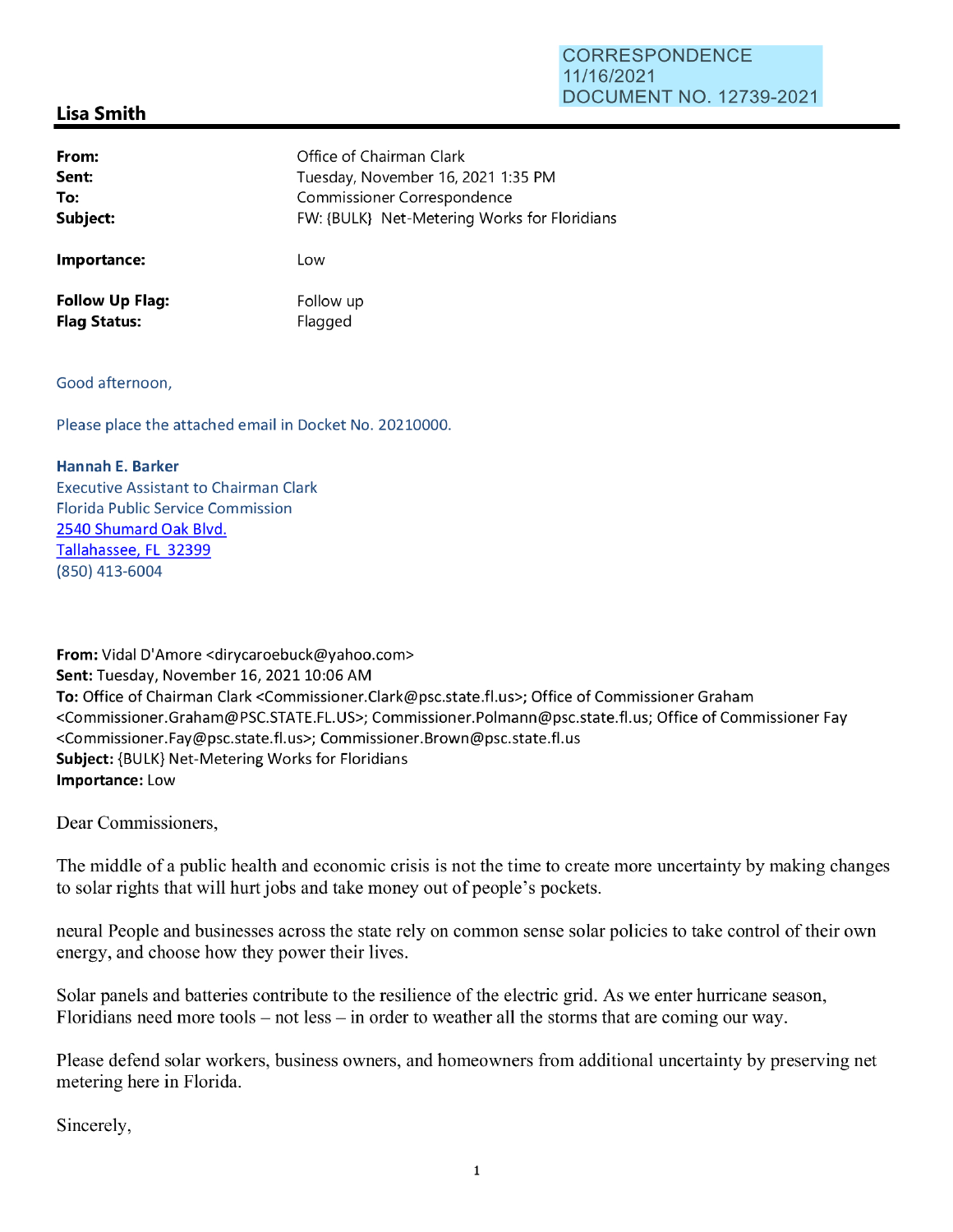## **Lisa Smith**

| From:                  | Office of Chairman Clark                     |
|------------------------|----------------------------------------------|
| Sent:                  | Tuesday, November 16, 2021 1:35 PM           |
| To:                    | Commissioner Correspondence                  |
| Subject:               | FW: {BULK} Net-Metering Works for Floridians |
| Importance:            | Low                                          |
| <b>Follow Up Flag:</b> | Follow up                                    |
| <b>Flag Status:</b>    | Flagged                                      |

## Good afternoon,

Please place the attached email in Docket No. 20210000.

## **Hannah E. Barker**

Executive Assistant to Chairman Clark Florida Public Service Commission 2540 Shumard Oak Blvd. Tallahassee, FL 32399 (850) 413-6004

**From:** Vidal D'Amore <dirycaroebuck@yahoo.com> **Sent:** Tuesday, November 16, 2021 10:06 AM **To:** Office of Chairman Clark <Commissioner.Clark@psc.state.fl.us>; Office of Commissioner Graham <Commissioner.Graham@PSC.STATE.FL.US>; Commissioner.Polmann@psc.state.fl.us; Office of Commissioner Fay <Commissioner.Fay@psc.state.fl.us>; Commissioner.Brown@psc.state.fl.us **Subject:** {BULK} Net-Metering Works for Floridians **Importance:** Low

Dear Commissioners,

The middle of a public health and economic crisis is not the time to create more uncertainty by making changes to solar rights that will hurt jobs and take money out of people's pockets.

neural People and businesses across the state rely on common sense solar policies to take control of their own energy, and choose how they power their lives.

Solar panels and batteries contribute to the resilience of the electric grid. As we enter hurricane season, Floridians need more tools – not less – in order to weather all the storms that are coming our way.

Please defend solar workers, business owners, and homeowners from additional uncertainty by preserving net metering here in Florida.

Sincerely,